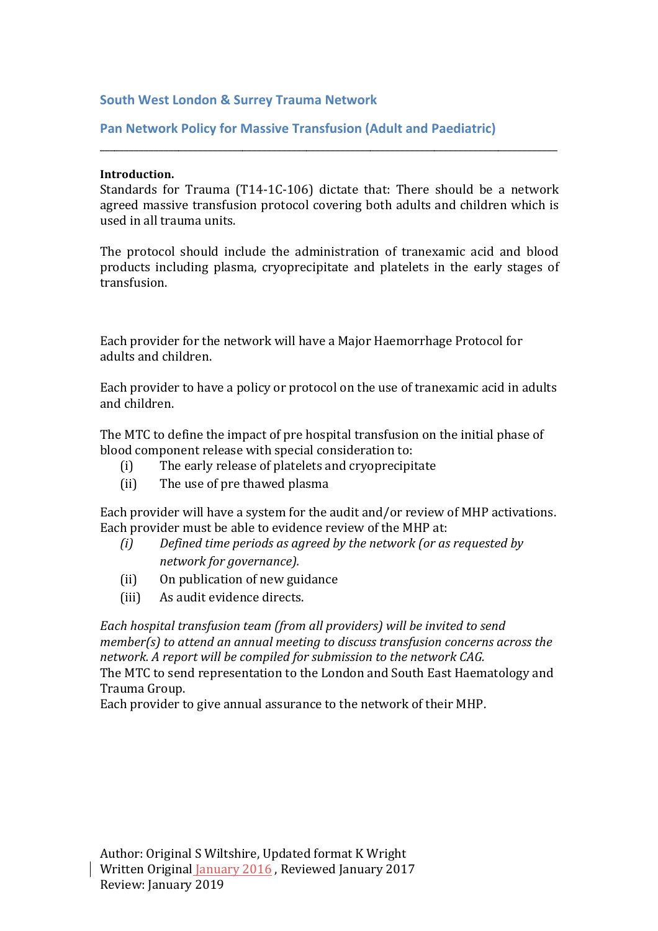### **South West London & Surrey Trauma Network**

#### **Pan Network Policy for Massive Transfusion (Adult and Paediatric)**

#### **Introduction.**

Standards for Trauma  $(T14-1C-106)$  dictate that: There should be a network agreed massive transfusion protocol covering both adults and children which is used in all trauma units.

\_\_\_\_\_\_\_\_\_\_\_\_\_\_\_\_\_\_\_\_\_\_\_\_\_\_\_\_\_\_\_\_\_\_\_\_\_\_\_\_\_\_\_\_\_\_\_\_\_\_\_\_\_\_\_\_\_\_\_\_\_\_\_\_\_\_\_\_\_\_\_\_\_\_\_\_\_\_\_\_\_\_\_\_\_\_\_\_\_\_\_\_\_

The protocol should include the administration of tranexamic acid and blood products including plasma, cryoprecipitate and platelets in the early stages of transfusion.

Each provider for the network will have a Major Haemorrhage Protocol for adults and children.

Each provider to have a policy or protocol on the use of tranexamic acid in adults and children.

The MTC to define the impact of pre hospital transfusion on the initial phase of blood component release with special consideration to:

- (i) The early release of platelets and cryoprecipitate
- (ii) The use of pre thawed plasma

Each provider will have a system for the audit and/or review of MHP activations. Each provider must be able to evidence review of the MHP at:

- *(i)* Defined time periods as agreed by the network (or as requested by *network for governance).*
- (ii) On publication of new guidance
- (iii) As audit evidence directs.

*Each hospital transfusion team (from all providers)* will be invited to send *member(s)* to attend an annual meeting to discuss transfusion concerns across the network. A report will be compiled for submission to the network CAG. The MTC to send representation to the London and South East Haematology and Trauma Group. 

Each provider to give annual assurance to the network of their MHP.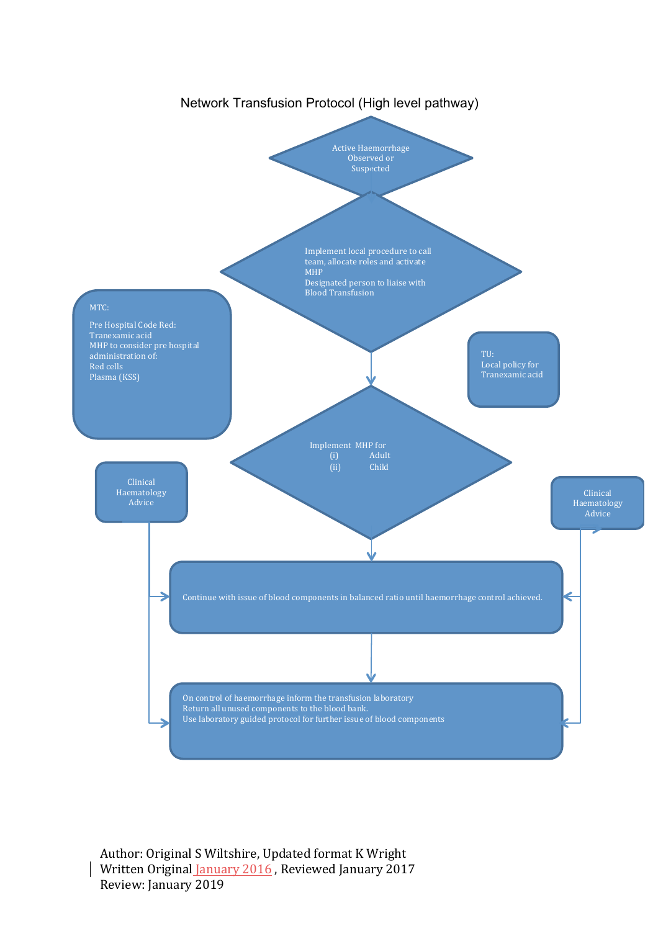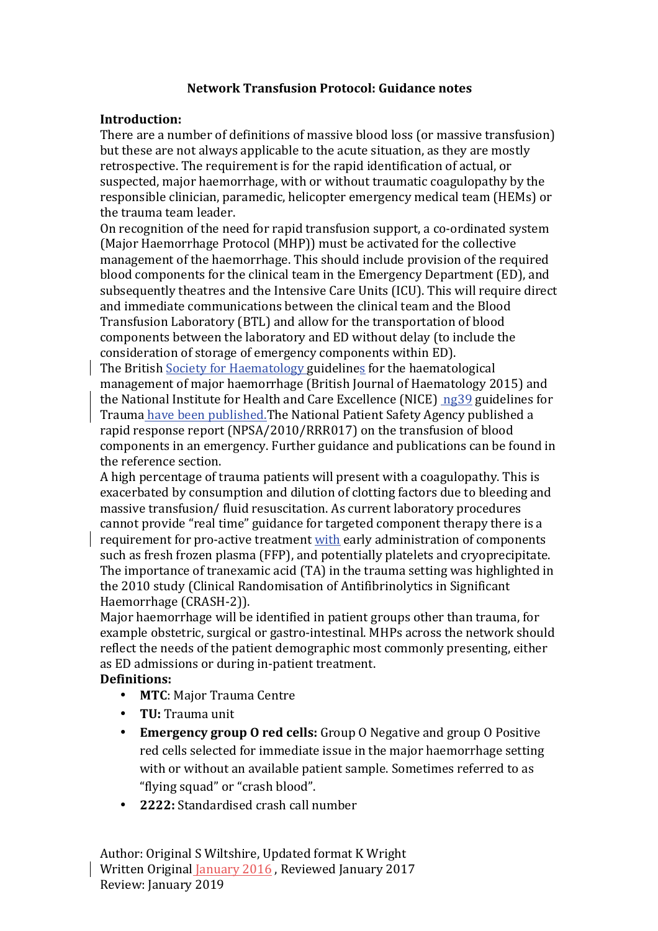# **Network Transfusion Protocol: Guidance notes**

#### **Introduction:**

There are a number of definitions of massive blood loss (or massive transfusion) but these are not always applicable to the acute situation, as they are mostly retrospective. The requirement is for the rapid identification of actual, or suspected, major haemorrhage, with or without traumatic coagulopathy by the responsible clinician, paramedic, helicopter emergency medical team (HEMs) or the trauma team leader.

On recognition of the need for rapid transfusion support, a co-ordinated system (Major Haemorrhage Protocol (MHP)) must be activated for the collective management of the haemorrhage. This should include provision of the required blood components for the clinical team in the Emergency Department (ED), and subsequently theatres and the Intensive Care Units (ICU). This will require direct and immediate communications between the clinical team and the Blood Transfusion Laboratory (BTL) and allow for the transportation of blood components between the laboratory and ED without delay (to include the consideration of storage of emergency components within ED).

The British Society for Haematology guidelines for the haematological management of major haemorrhage (British Journal of Haematology 2015) and the National Institute for Health and Care Excellence (NICE)  $ng39$  guidelines for Trauma have been published. The National Patient Safety Agency published a rapid response report (NPSA/2010/RRR017) on the transfusion of blood components in an emergency. Further guidance and publications can be found in the reference section.

A high percentage of trauma patients will present with a coagulopathy. This is exacerbated by consumption and dilution of clotting factors due to bleeding and massive transfusion/ fluid resuscitation. As current laboratory procedures cannot provide "real time" guidance for targeted component therapy there is a

requirement for pro-active treatment with early administration of components such as fresh frozen plasma (FFP), and potentially platelets and cryoprecipitate. The importance of tranexamic acid (TA) in the trauma setting was highlighted in the 2010 study (Clinical Randomisation of Antifibrinolytics in Significant Haemorrhage (CRASH-2)).

Major haemorrhage will be identified in patient groups other than trauma, for example obstetric, surgical or gastro-intestinal. MHPs across the network should reflect the needs of the patient demographic most commonly presenting, either as ED admissions or during in-patient treatment.

### **Definitions:**

- **MTC**: Major Trauma Centre
- **TU:** Trauma unit
- **Emergency group O red cells:** Group O Negative and group O Positive red cells selected for immediate issue in the major haemorrhage setting with or without an available patient sample. Sometimes referred to as "flying squad" or "crash blood".
- **2222:** Standardised crash call number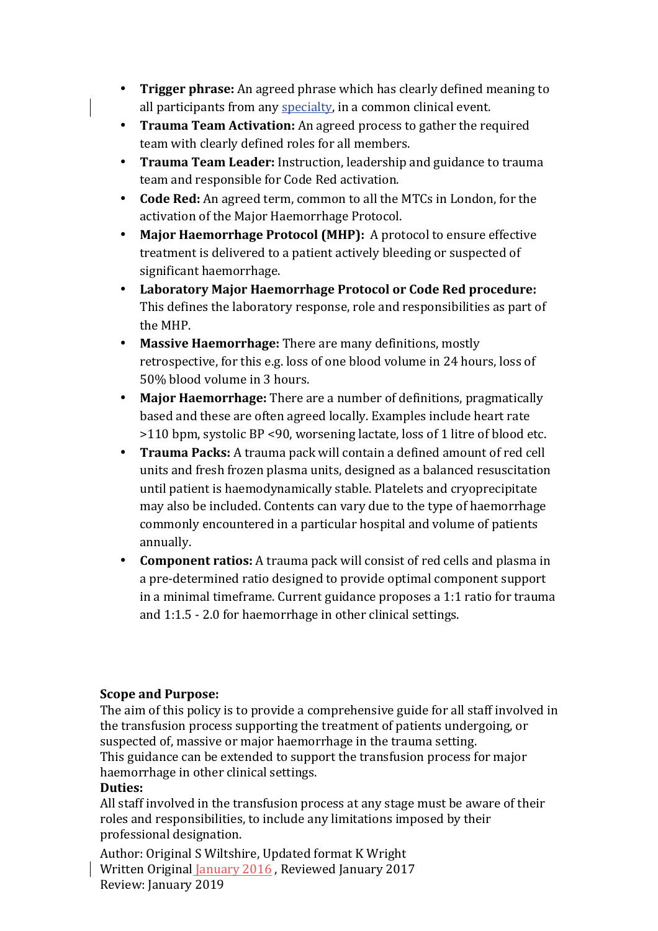- **Trigger phrase:** An agreed phrase which has clearly defined meaning to all participants from any specialty, in a common clinical event.
- **Trauma Team Activation:** An agreed process to gather the required team with clearly defined roles for all members.
- **Trauma Team Leader:** Instruction, leadership and guidance to trauma team and responsible for Code Red activation.
- **Code Red:** An agreed term, common to all the MTCs in London, for the activation of the Major Haemorrhage Protocol.
- **Major Haemorrhage Protocol (MHP):** A protocol to ensure effective treatment is delivered to a patient actively bleeding or suspected of significant haemorrhage.
- **Laboratory Major Haemorrhage Protocol or Code Red procedure:** This defines the laboratory response, role and responsibilities as part of the MHP.
- Massive Haemorrhage: There are many definitions, mostly retrospective, for this e.g. loss of one blood volume in 24 hours, loss of 50% blood volume in 3 hours.
- Major Haemorrhage: There are a number of definitions, pragmatically based and these are often agreed locally. Examples include heart rate >110 bpm, systolic BP <90, worsening lactate, loss of 1 litre of blood etc.
- Trauma Packs: A trauma pack will contain a defined amount of red cell units and fresh frozen plasma units, designed as a balanced resuscitation until patient is haemodynamically stable. Platelets and cryoprecipitate may also be included. Contents can vary due to the type of haemorrhage commonly encountered in a particular hospital and volume of patients annually.
- **Component ratios:** A trauma pack will consist of red cells and plasma in a pre-determined ratio designed to provide optimal component support in a minimal timeframe. Current guidance proposes a  $1:1$  ratio for trauma and  $1:1.5 - 2.0$  for haemorrhage in other clinical settings.

# **Scope and Purpose:**

The aim of this policy is to provide a comprehensive guide for all staff involved in the transfusion process supporting the treatment of patients undergoing, or suspected of, massive or major haemorrhage in the trauma setting. This guidance can be extended to support the transfusion process for major haemorrhage in other clinical settings.

### **Duties:**

All staff involved in the transfusion process at any stage must be aware of their roles and responsibilities, to include any limitations imposed by their professional designation.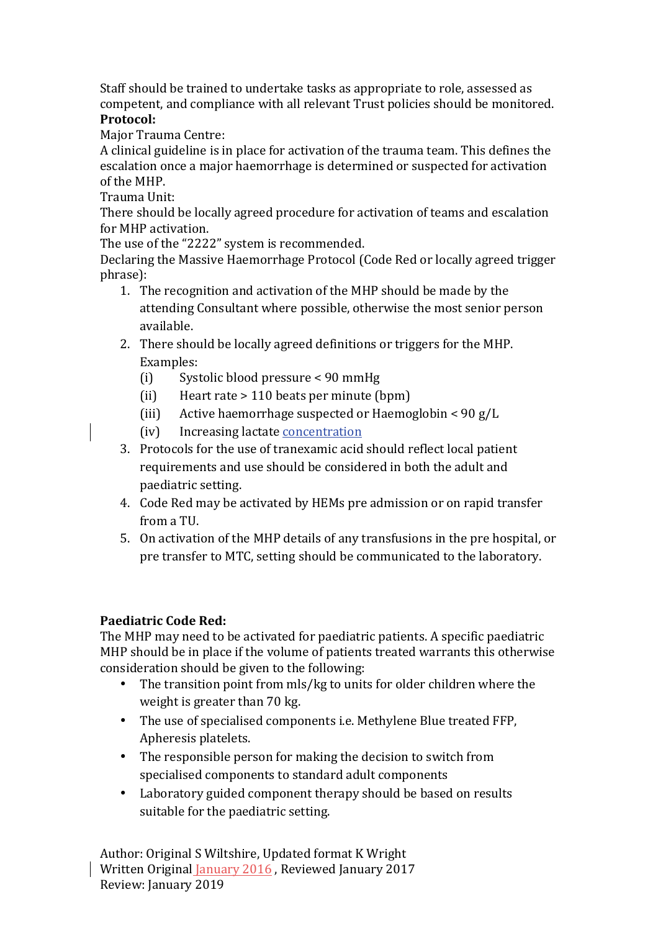Staff should be trained to undertake tasks as appropriate to role, assessed as competent, and compliance with all relevant Trust policies should be monitored. **Protocol:**

Major Trauma Centre:

A clinical guideline is in place for activation of the trauma team. This defines the escalation once a major haemorrhage is determined or suspected for activation of the MHP

Trauma Unit:

There should be locally agreed procedure for activation of teams and escalation for MHP activation.

The use of the "2222" system is recommended.

Declaring the Massive Haemorrhage Protocol (Code Red or locally agreed trigger phrase):

- 1. The recognition and activation of the MHP should be made by the attending Consultant where possible, otherwise the most senior person available.
- 2. There should be locally agreed definitions or triggers for the MHP. Examples:
	- (i) Systolic blood pressure  $\lt 90$  mmHg
	- $(ii)$  Heart rate > 110 beats per minute  $(b \text{pm})$
	- (iii) Active haemorrhage suspected or Haemoglobin <  $90 g/L$
	- (iv) Increasing lactate concentration
- 3. Protocols for the use of tranexamic acid should reflect local patient requirements and use should be considered in both the adult and paediatric setting.
- 4. Code Red may be activated by HEMs pre admission or on rapid transfer from a TU.
- 5. On activation of the MHP details of any transfusions in the pre hospital, or pre transfer to MTC, setting should be communicated to the laboratory.

# Paediatric Code Red:

The MHP may need to be activated for paediatric patients. A specific paediatric MHP should be in place if the volume of patients treated warrants this otherwise consideration should be given to the following:

- The transition point from mls/kg to units for older children where the weight is greater than  $70 \text{ kg}$ .
- The use of specialised components i.e. Methylene Blue treated FFP, Apheresis platelets.
- The responsible person for making the decision to switch from specialised components to standard adult components
- Laboratory guided component therapy should be based on results suitable for the paediatric setting.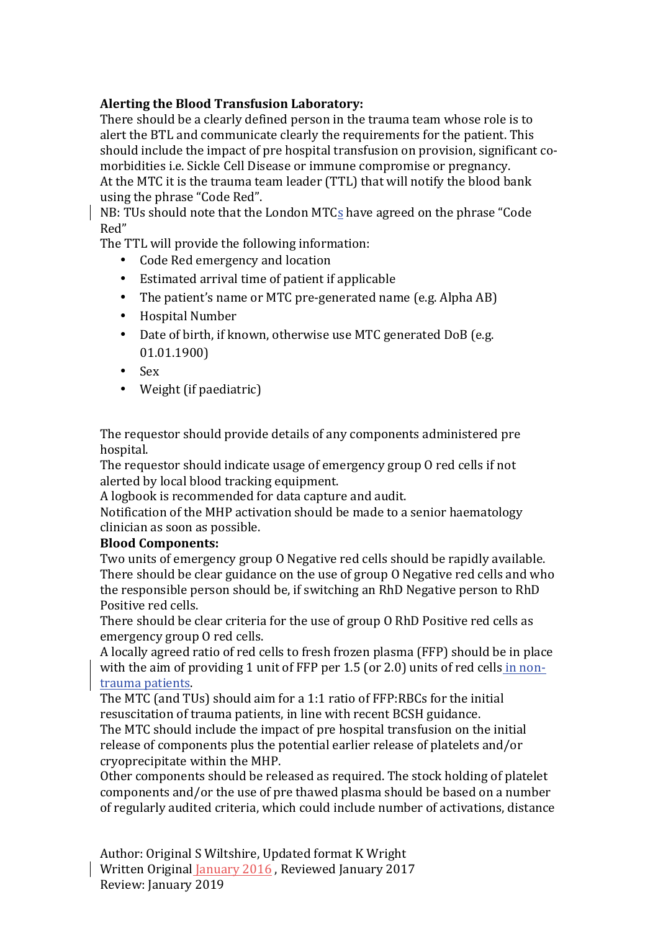# Alerting the Blood Transfusion Laboratory:

There should be a clearly defined person in the trauma team whose role is to alert the BTL and communicate clearly the requirements for the patient. This should include the impact of pre hospital transfusion on provision, significant comorbidities i.e. Sickle Cell Disease or immune compromise or pregnancy. At the MTC it is the trauma team leader (TTL) that will notify the blood bank using the phrase "Code Red".

NB: TUs should note that the London MTCs have agreed on the phrase "Code" Red"

The TTL will provide the following information:

- Code Red emergency and location
- Estimated arrival time of patient if applicable
- The patient's name or MTC pre-generated name (e.g. Alpha AB)
- Hospital Number
- Date of birth, if known, otherwise use MTC generated DoB (e.g. 01.01.1900)
- Sex
- $\bullet$  Weight (if paediatric)

The requestor should provide details of any components administered pre hospital.

The requestor should indicate usage of emergency group O red cells if not alerted by local blood tracking equipment.

A logbook is recommended for data capture and audit.

Notification of the MHP activation should be made to a senior haematology clinician as soon as possible.

### **Blood Components:**

Two units of emergency group O Negative red cells should be rapidly available. There should be clear guidance on the use of group O Negative red cells and who the responsible person should be, if switching an RhD Negative person to RhD Positive red cells.

There should be clear criteria for the use of group O RhD Positive red cells as emergency group O red cells.

A locally agreed ratio of red cells to fresh frozen plasma (FFP) should be in place with the aim of providing 1 unit of FFP per 1.5 (or 2.0) units of red cells in nontrauma patients.

The MTC (and TUs) should aim for a 1:1 ratio of  $FFP:RBCs$  for the initial resuscitation of trauma patients, in line with recent BCSH guidance. The MTC should include the impact of pre hospital transfusion on the initial release of components plus the potential earlier release of platelets and/or cryoprecipitate within the MHP.

Other components should be released as required. The stock holding of platelet components and/or the use of pre thawed plasma should be based on a number of regularly audited criteria, which could include number of activations, distance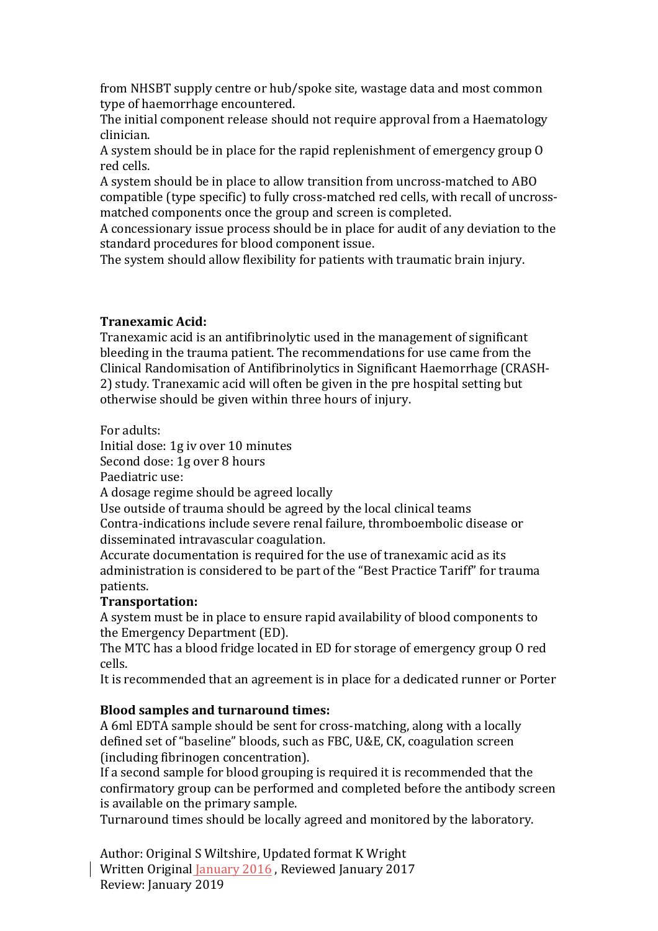from NHSBT supply centre or hub/spoke site, wastage data and most common type of haemorrhage encountered.

The initial component release should not require approval from a Haematology clinician.

A system should be in place for the rapid replenishment of emergency group O red cells.

A system should be in place to allow transition from uncross-matched to ABO compatible (type specific) to fully cross-matched red cells, with recall of uncrossmatched components once the group and screen is completed.

A concessionary issue process should be in place for audit of any deviation to the standard procedures for blood component issue.

The system should allow flexibility for patients with traumatic brain injury.

### **Tranexamic Acid:**

Tranexamic acid is an antifibrinolytic used in the management of significant bleeding in the trauma patient. The recommendations for use came from the Clinical Randomisation of Antifibrinolytics in Significant Haemorrhage (CRASH-2) study. Tranexamic acid will often be given in the pre hospital setting but otherwise should be given within three hours of injury.

For adults:

Initial dose: 1g iv over 10 minutes

Second dose: 1g over 8 hours

Paediatric use:

A dosage regime should be agreed locally

Use outside of trauma should be agreed by the local clinical teams Contra-indications include severe renal failure, thromboembolic disease or disseminated intravascular coagulation.

Accurate documentation is required for the use of tranexamic acid as its administration is considered to be part of the "Best Practice Tariff" for trauma patients.

### **Transportation:**

A system must be in place to ensure rapid availability of blood components to the Emergency Department (ED).

The MTC has a blood fridge located in ED for storage of emergency group O red cells.

It is recommended that an agreement is in place for a dedicated runner or Porter

### **Blood samples and turnaround times:**

A 6ml EDTA sample should be sent for cross-matching, along with a locally defined set of "baseline" bloods, such as FBC, U&E, CK, coagulation screen (including fibrinogen concentration).

If a second sample for blood grouping is required it is recommended that the confirmatory group can be performed and completed before the antibody screen is available on the primary sample.

Turnaround times should be locally agreed and monitored by the laboratory.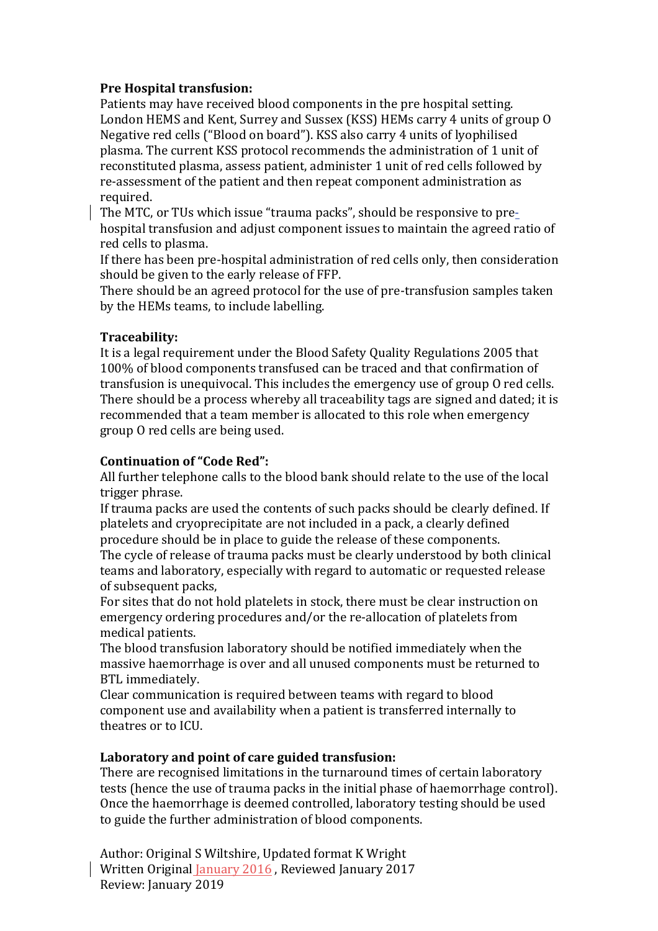# **Pre Hospital transfusion:**

Patients may have received blood components in the pre hospital setting. London HEMS and Kent, Surrey and Sussex (KSS) HEMs carry 4 units of group O Negative red cells ("Blood on board"). KSS also carry 4 units of lyophilised plasma. The current KSS protocol recommends the administration of 1 unit of reconstituted plasma, assess patient, administer 1 unit of red cells followed by re-assessment of the patient and then repeat component administration as required.

The MTC, or TUs which issue "trauma packs", should be responsive to prehospital transfusion and adjust component issues to maintain the agreed ratio of red cells to plasma.

If there has been pre-hospital administration of red cells only, then consideration should be given to the early release of FFP.

There should be an agreed protocol for the use of pre-transfusion samples taken by the HEMs teams, to include labelling.

## **Traceability:**

It is a legal requirement under the Blood Safety Quality Regulations 2005 that 100% of blood components transfused can be traced and that confirmation of transfusion is unequivocal. This includes the emergency use of group O red cells. There should be a process whereby all traceability tags are signed and dated; it is recommended that a team member is allocated to this role when emergency group O red cells are being used.

## **Continuation of "Code Red":**

All further telephone calls to the blood bank should relate to the use of the local trigger phrase.

If trauma packs are used the contents of such packs should be clearly defined. If platelets and cryoprecipitate are not included in a pack, a clearly defined procedure should be in place to guide the release of these components.

The cycle of release of trauma packs must be clearly understood by both clinical teams and laboratory, especially with regard to automatic or requested release of subsequent packs,

For sites that do not hold platelets in stock, there must be clear instruction on emergency ordering procedures and/or the re-allocation of platelets from medical patients.

The blood transfusion laboratory should be notified immediately when the massive haemorrhage is over and all unused components must be returned to BTL immediately.

Clear communication is required between teams with regard to blood component use and availability when a patient is transferred internally to theatres or to ICU.

### Laboratory and point of care guided transfusion:

There are recognised limitations in the turnaround times of certain laboratory tests (hence the use of trauma packs in the initial phase of haemorrhage control). Once the haemorrhage is deemed controlled, laboratory testing should be used to guide the further administration of blood components.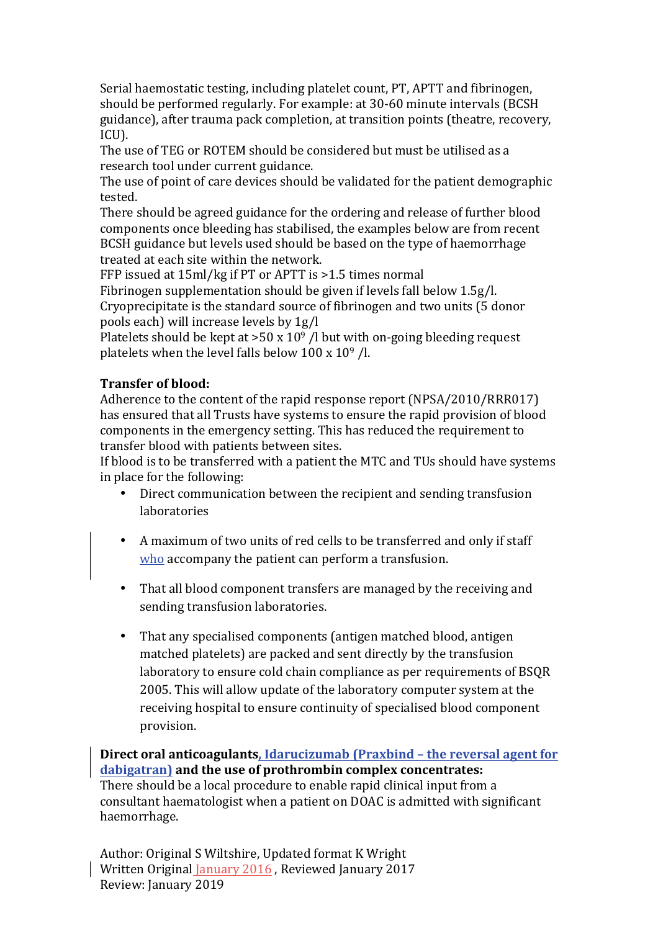Serial haemostatic testing, including platelet count, PT, APTT and fibrinogen, should be performed regularly. For example: at 30-60 minute intervals (BCSH) guidance), after trauma pack completion, at transition points (theatre, recovery, ICU).

The use of TEG or ROTEM should be considered but must be utilised as a research tool under current guidance.

The use of point of care devices should be validated for the patient demographic tested.

There should be agreed guidance for the ordering and release of further blood components once bleeding has stabilised, the examples below are from recent BCSH guidance but levels used should be based on the type of haemorrhage treated at each site within the network.

FFP issued at  $15$ ml/kg if PT or APTT is  $>1.5$  times normal

Fibrinogen supplementation should be given if levels fall below  $1.5g/l$ . Cryoprecipitate is the standard source of fibrinogen and two units (5 donor pools each) will increase levels by 1g/l

Platelets should be kept at  $>50 \times 10^9$  /l but with on-going bleeding request platelets when the level falls below  $100 \times 10^9$  /l.

# **Transfer of blood:**

Adherence to the content of the rapid response report (NPSA/2010/RRR017) has ensured that all Trusts have systems to ensure the rapid provision of blood components in the emergency setting. This has reduced the requirement to transfer blood with patients between sites.

If blood is to be transferred with a patient the MTC and TUs should have systems in place for the following:

- Direct communication between the recipient and sending transfusion laboratories
- A maximum of two units of red cells to be transferred and only if staff who accompany the patient can perform a transfusion.
- That all blood component transfers are managed by the receiving and sending transfusion laboratories.
- That any specialised components (antigen matched blood, antigen matched platelets) are packed and sent directly by the transfusion laboratory to ensure cold chain compliance as per requirements of BSQR 2005. This will allow update of the laboratory computer system at the receiving hospital to ensure continuity of specialised blood component provision.

**Direct oral anticoagulants, Idarucizumab (Praxbind - the reversal agent for** dabigatran) and the use of prothrombin complex concentrates: There should be a local procedure to enable rapid clinical input from a consultant haematologist when a patient on DOAC is admitted with significant haemorrhage.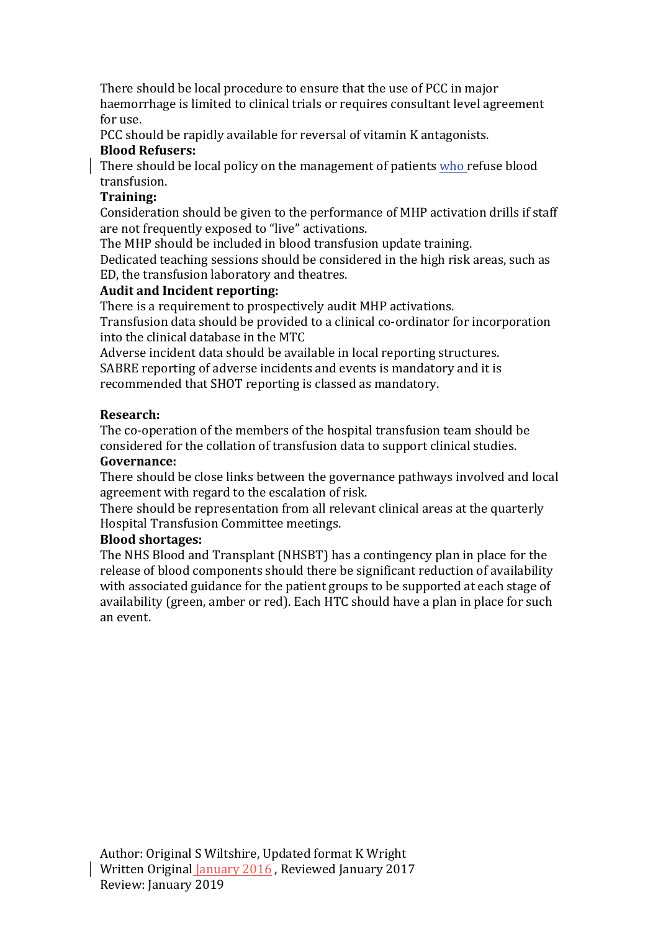There should be local procedure to ensure that the use of PCC in major haemorrhage is limited to clinical trials or requires consultant level agreement for use.

PCC should be rapidly available for reversal of vitamin K antagonists.

# **Blood Refusers:**

There should be local policy on the management of patients who refuse blood transfusion.

# **Training:**

Consideration should be given to the performance of MHP activation drills if staff are not frequently exposed to "live" activations.

The MHP should be included in blood transfusion update training.

Dedicated teaching sessions should be considered in the high risk areas, such as ED, the transfusion laboratory and theatres.

# Audit and Incident reporting:

There is a requirement to prospectively audit MHP activations. Transfusion data should be provided to a clinical co-ordinator for incorporation into the clinical database in the MTC

Adverse incident data should be available in local reporting structures. SABRE reporting of adverse incidents and events is mandatory and it is recommended that SHOT reporting is classed as mandatory.

# **Research:**

The co-operation of the members of the hospital transfusion team should be considered for the collation of transfusion data to support clinical studies.

### **Governance:**

There should be close links between the governance pathways involved and local agreement with regard to the escalation of risk.

There should be representation from all relevant clinical areas at the quarterly Hospital Transfusion Committee meetings.

# **Blood shortages:**

The NHS Blood and Transplant (NHSBT) has a contingency plan in place for the release of blood components should there be significant reduction of availability with associated guidance for the patient groups to be supported at each stage of availability (green, amber or red). Each HTC should have a plan in place for such an event.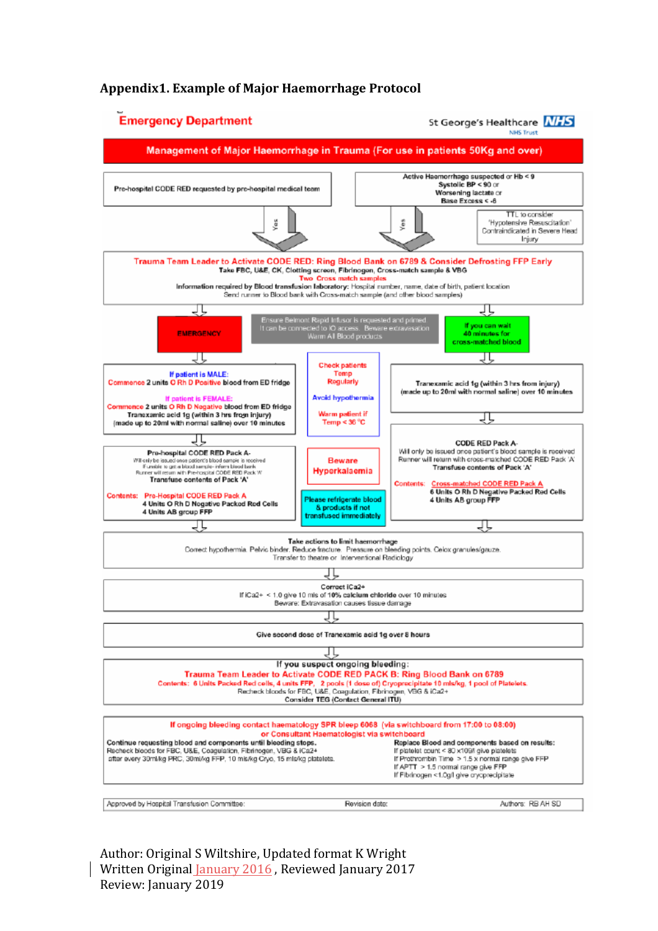## **Appendix1. Example of Major Haemorrhage Protocol**

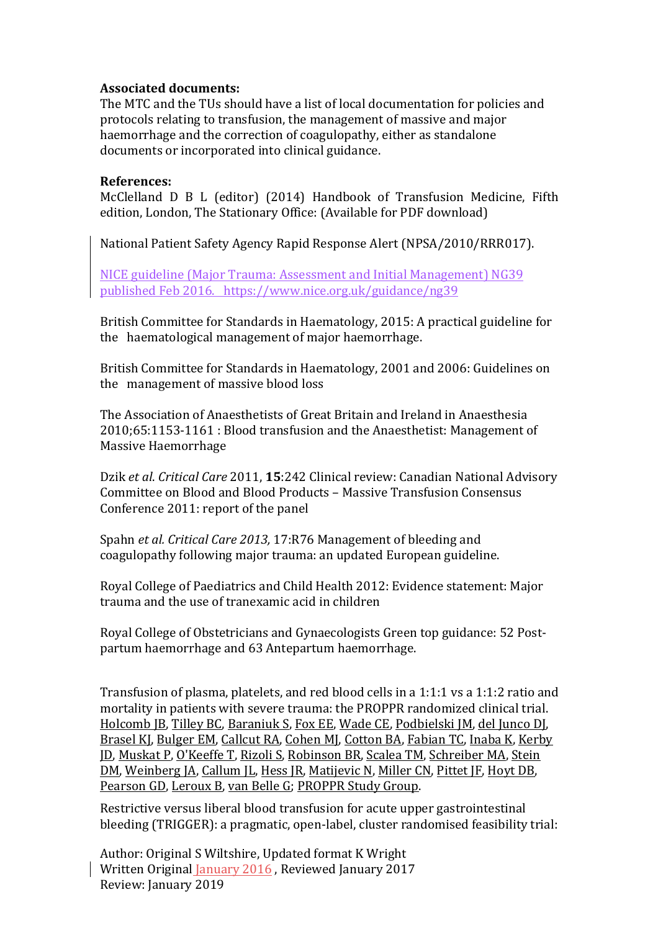### **Associated documents:**

The MTC and the TUs should have a list of local documentation for policies and protocols relating to transfusion, the management of massive and major haemorrhage and the correction of coagulopathy, either as standalone documents or incorporated into clinical guidance.

#### **References:**

McClelland D B L (editor) (2014) Handbook of Transfusion Medicine, Fifth edition, London, The Stationary Office: (Available for PDF download)

National Patient Safety Agency Rapid Response Alert (NPSA/2010/RRR017).

NICE guideline (Major Trauma: Assessment and Initial Management) NG39 published Feb 2016. https://www.nice.org.uk/guidance/ng39

British Committee for Standards in Haematology, 2015: A practical guideline for the haematological management of major haemorrhage.

British Committee for Standards in Haematology, 2001 and 2006: Guidelines on the management of massive blood loss

The Association of Anaesthetists of Great Britain and Ireland in Anaesthesia 2010;65:1153-1161 : Blood transfusion and the Anaesthetist: Management of Massive Haemorrhage

Dzik et al. Critical Care 2011, 15:242 Clinical review: Canadian National Advisory Committee on Blood and Blood Products – Massive Transfusion Consensus Conference 2011: report of the panel

Spahn *et al. Critical Care 2013,* 17:R76 Management of bleeding and coagulopathy following major trauma: an updated European guideline.

Royal College of Paediatrics and Child Health 2012: Evidence statement: Major trauma and the use of tranexamic acid in children

Royal College of Obstetricians and Gynaecologists Green top guidance: 52 Postpartum haemorrhage and 63 Antepartum haemorrhage.

Transfusion of plasma, platelets, and red blood cells in a  $1:1:1$  vs a  $1:1:2$  ratio and mortality in patients with severe trauma: the PROPPR randomized clinical trial. Holcomb JB, Tilley BC, Baraniuk S, Fox EE, Wade CE, Podbielski JM, del Junco DJ, Brasel KJ, Bulger EM, Callcut RA, Cohen MJ, Cotton BA, Fabian TC, Inaba K, Kerby JD, Muskat P, O'Keeffe T, Rizoli S, Robinson BR, Scalea TM, Schreiber MA, Stein DM, Weinberg JA, Callum JL, Hess JR, Matijevic N, Miller CN, Pittet JF, Hoyt DB, Pearson GD, Leroux B, van Belle G; PROPPR Study Group.

Restrictive versus liberal blood transfusion for acute upper gastrointestinal bleeding (TRIGGER): a pragmatic, open-label, cluster randomised feasibility trial: